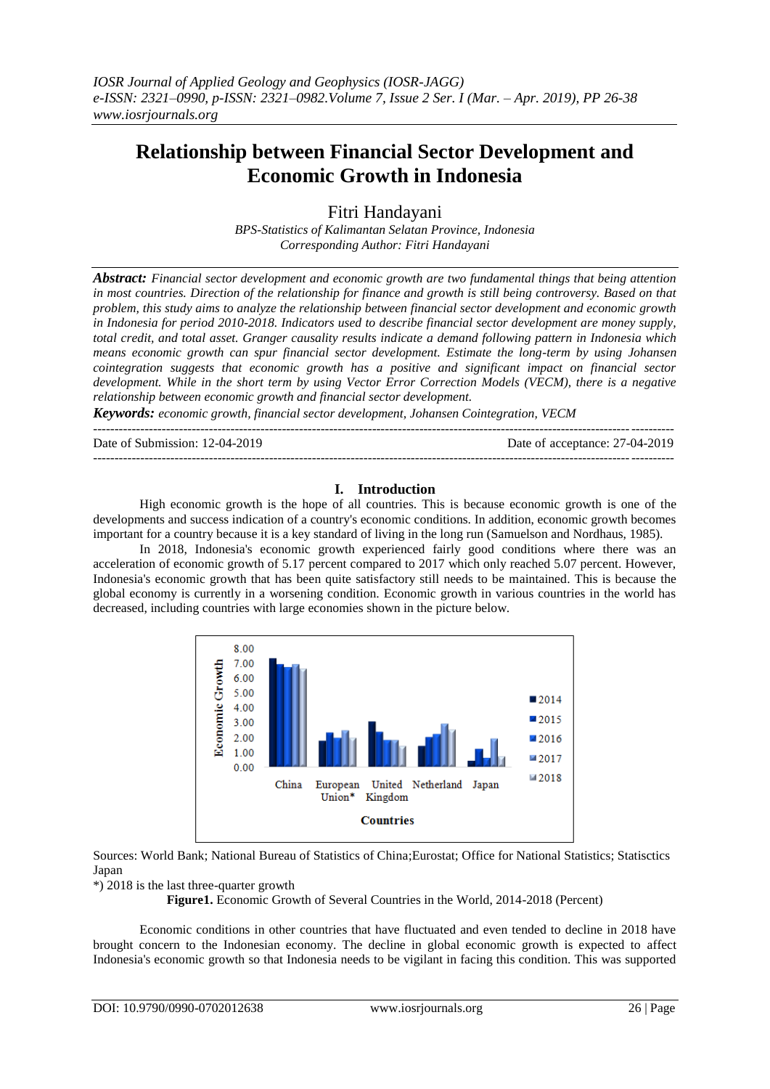# **Relationship between Financial Sector Development and Economic Growth in Indonesia**

Fitri Handayani

*BPS-Statistics of Kalimantan Selatan Province, Indonesia Corresponding Author: Fitri Handayani*

*Abstract: Financial sector development and economic growth are two fundamental things that being attention in most countries. Direction of the relationship for finance and growth is still being controversy. Based on that problem, this study aims to analyze the relationship between financial sector development and economic growth in Indonesia for period 2010-2018. Indicators used to describe financial sector development are money supply, total credit, and total asset. Granger causality results indicate a demand following pattern in Indonesia which means economic growth can spur financial sector development. Estimate the long-term by using Johansen cointegration suggests that economic growth has a positive and significant impact on financial sector development. While in the short term by using Vector Error Correction Models (VECM), there is a negative relationship between economic growth and financial sector development.*

*Keywords: economic growth, financial sector development, Johansen Cointegration, VECM*

---------------------------------------------------------------------------------------------------------------------------------------

Date of Submission: 12-04-2019 Date of acceptance: 27-04-2019

#### **I. Introduction**

---------------------------------------------------------------------------------------------------------------------------------------

High economic growth is the hope of all countries. This is because economic growth is one of the developments and success indication of a country's economic conditions. In addition, economic growth becomes important for a country because it is a key standard of living in the long run (Samuelson and Nordhaus, 1985).

In 2018, Indonesia's economic growth experienced fairly good conditions where there was an acceleration of economic growth of 5.17 percent compared to 2017 which only reached 5.07 percent. However, Indonesia's economic growth that has been quite satisfactory still needs to be maintained. This is because the global economy is currently in a worsening condition. Economic growth in various countries in the world has decreased, including countries with large economies shown in the picture below.



Sources: World Bank; [National Bureau of Statistics of China;](https://en.wikipedia.org/wiki/National_Bureau_of_Statistics_of_China)Eurostat; Office for National Statistics; Statisctics Japan

#### \*) 2018 is the last three-quarter growth

**Figure1.** Economic Growth of Several Countries in the World, 2014-2018 (Percent)

Economic conditions in other countries that have fluctuated and even tended to decline in 2018 have brought concern to the Indonesian economy. The decline in global economic growth is expected to affect Indonesia's economic growth so that Indonesia needs to be vigilant in facing this condition. This was supported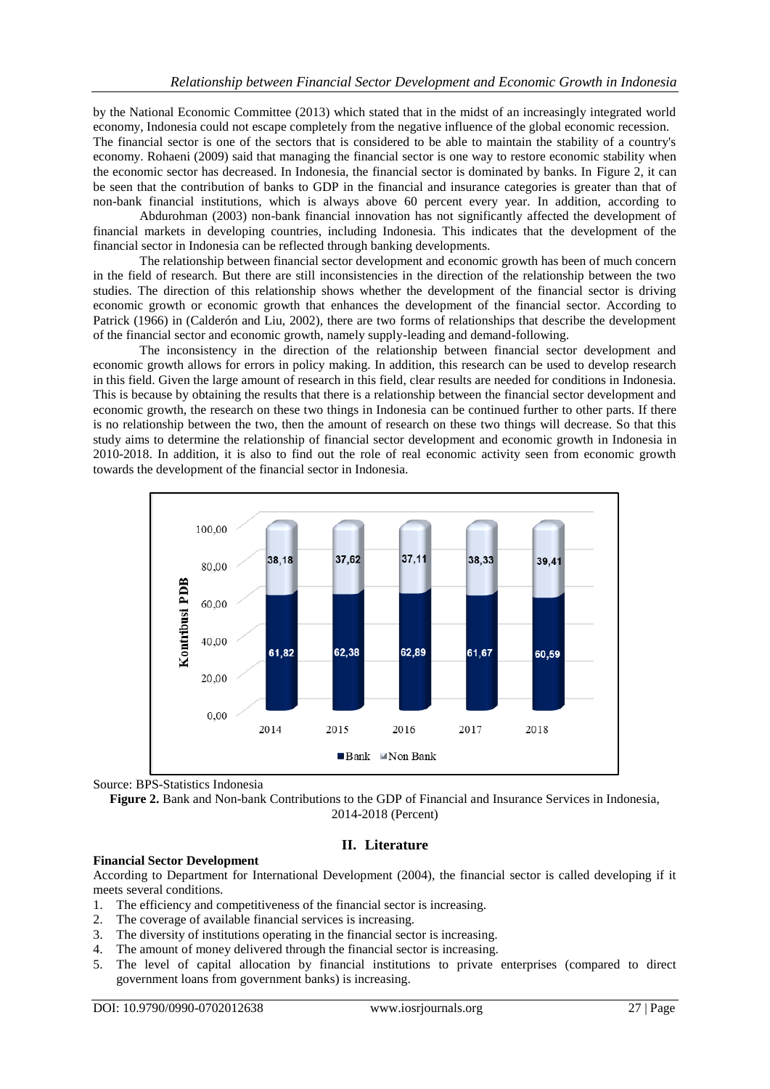by the National Economic Committee (2013) which stated that in the midst of an increasingly integrated world economy, Indonesia could not escape completely from the negative influence of the global economic recession. The financial sector is one of the sectors that is considered to be able to maintain the stability of a country's economy. Rohaeni (2009) said that managing the financial sector is one way to restore economic stability when the economic sector has decreased. In Indonesia, the financial sector is dominated by banks. In Figure 2, it can be seen that the contribution of banks to GDP in the financial and insurance categories is greater than that of non-bank financial institutions, which is always above 60 percent every year. In addition, according to

Abdurohman (2003) non-bank financial innovation has not significantly affected the development of financial markets in developing countries, including Indonesia. This indicates that the development of the financial sector in Indonesia can be reflected through banking developments.

The relationship between financial sector development and economic growth has been of much concern in the field of research. But there are still inconsistencies in the direction of the relationship between the two studies. The direction of this relationship shows whether the development of the financial sector is driving economic growth or economic growth that enhances the development of the financial sector. According to Patrick (1966) in (Calderón and Liu, 2002), there are two forms of relationships that describe the development of the financial sector and economic growth, namely supply-leading and demand-following.

The inconsistency in the direction of the relationship between financial sector development and economic growth allows for errors in policy making. In addition, this research can be used to develop research in this field. Given the large amount of research in this field, clear results are needed for conditions in Indonesia. This is because by obtaining the results that there is a relationship between the financial sector development and economic growth, the research on these two things in Indonesia can be continued further to other parts. If there is no relationship between the two, then the amount of research on these two things will decrease. So that this study aims to determine the relationship of financial sector development and economic growth in Indonesia in 2010-2018. In addition, it is also to find out the role of real economic activity seen from economic growth towards the development of the financial sector in Indonesia.



Source: BPS-Statistics Indonesia

**Figure 2.** Bank and Non-bank Contributions to the GDP of Financial and Insurance Services in Indonesia, 2014-2018 (Percent)

## **II. Literature**

#### **Financial Sector Development**

According to Department for International Development (2004), the financial sector is called developing if it meets several conditions.

- 1. The efficiency and competitiveness of the financial sector is increasing.
- 2. The coverage of available financial services is increasing.
- 3. The diversity of institutions operating in the financial sector is increasing.
- 4. The amount of money delivered through the financial sector is increasing.
- 5. The level of capital allocation by financial institutions to private enterprises (compared to direct government loans from government banks) is increasing.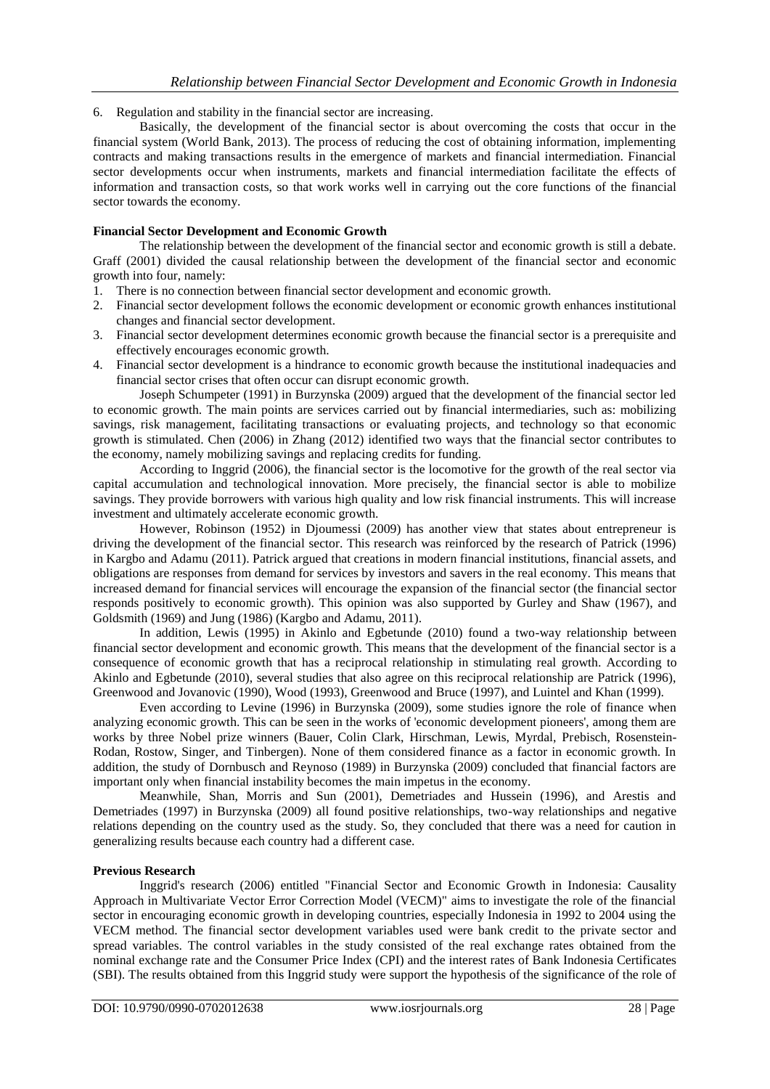6. Regulation and stability in the financial sector are increasing.

Basically, the development of the financial sector is about overcoming the costs that occur in the financial system (World Bank, 2013). The process of reducing the cost of obtaining information, implementing contracts and making transactions results in the emergence of markets and financial intermediation. Financial sector developments occur when instruments, markets and financial intermediation facilitate the effects of information and transaction costs, so that work works well in carrying out the core functions of the financial sector towards the economy.

## **Financial Sector Development and Economic Growth**

The relationship between the development of the financial sector and economic growth is still a debate. Graff (2001) divided the causal relationship between the development of the financial sector and economic growth into four, namely:

- 1. There is no connection between financial sector development and economic growth.
- 2. Financial sector development follows the economic development or economic growth enhances institutional changes and financial sector development.
- 3. Financial sector development determines economic growth because the financial sector is a prerequisite and effectively encourages economic growth.
- 4. Financial sector development is a hindrance to economic growth because the institutional inadequacies and financial sector crises that often occur can disrupt economic growth.

Joseph Schumpeter (1991) in Burzynska (2009) argued that the development of the financial sector led to economic growth. The main points are services carried out by financial intermediaries, such as: mobilizing savings, risk management, facilitating transactions or evaluating projects, and technology so that economic growth is stimulated. Chen (2006) in Zhang (2012) identified two ways that the financial sector contributes to the economy, namely mobilizing savings and replacing credits for funding.

According to Inggrid (2006), the financial sector is the locomotive for the growth of the real sector via capital accumulation and technological innovation. More precisely, the financial sector is able to mobilize savings. They provide borrowers with various high quality and low risk financial instruments. This will increase investment and ultimately accelerate economic growth.

However, Robinson (1952) in Djoumessi (2009) has another view that states about entrepreneur is driving the development of the financial sector. This research was reinforced by the research of Patrick (1996) in Kargbo and Adamu (2011). Patrick argued that creations in modern financial institutions, financial assets, and obligations are responses from demand for services by investors and savers in the real economy. This means that increased demand for financial services will encourage the expansion of the financial sector (the financial sector responds positively to economic growth). This opinion was also supported by Gurley and Shaw (1967), and Goldsmith (1969) and Jung (1986) (Kargbo and Adamu, 2011).

In addition, Lewis (1995) in Akinlo and Egbetunde (2010) found a two-way relationship between financial sector development and economic growth. This means that the development of the financial sector is a consequence of economic growth that has a reciprocal relationship in stimulating real growth. According to Akinlo and Egbetunde (2010), several studies that also agree on this reciprocal relationship are Patrick (1996), Greenwood and Jovanovic (1990), Wood (1993), Greenwood and Bruce (1997), and Luintel and Khan (1999).

Even according to Levine (1996) in Burzynska (2009), some studies ignore the role of finance when analyzing economic growth. This can be seen in the works of 'economic development pioneers', among them are works by three Nobel prize winners (Bauer, Colin Clark, Hirschman, Lewis, Myrdal, Prebisch, Rosenstein-Rodan, Rostow, Singer, and Tinbergen). None of them considered finance as a factor in economic growth. In addition, the study of Dornbusch and Reynoso (1989) in Burzynska (2009) concluded that financial factors are important only when financial instability becomes the main impetus in the economy.

Meanwhile, Shan, Morris and Sun (2001), Demetriades and Hussein (1996), and Arestis and Demetriades (1997) in Burzynska (2009) all found positive relationships, two-way relationships and negative relations depending on the country used as the study. So, they concluded that there was a need for caution in generalizing results because each country had a different case.

## **Previous Research**

Inggrid's research (2006) entitled "Financial Sector and Economic Growth in Indonesia: Causality Approach in Multivariate Vector Error Correction Model (VECM)" aims to investigate the role of the financial sector in encouraging economic growth in developing countries, especially Indonesia in 1992 to 2004 using the VECM method. The financial sector development variables used were bank credit to the private sector and spread variables. The control variables in the study consisted of the real exchange rates obtained from the nominal exchange rate and the Consumer Price Index (CPI) and the interest rates of Bank Indonesia Certificates (SBI). The results obtained from this Inggrid study were support the hypothesis of the significance of the role of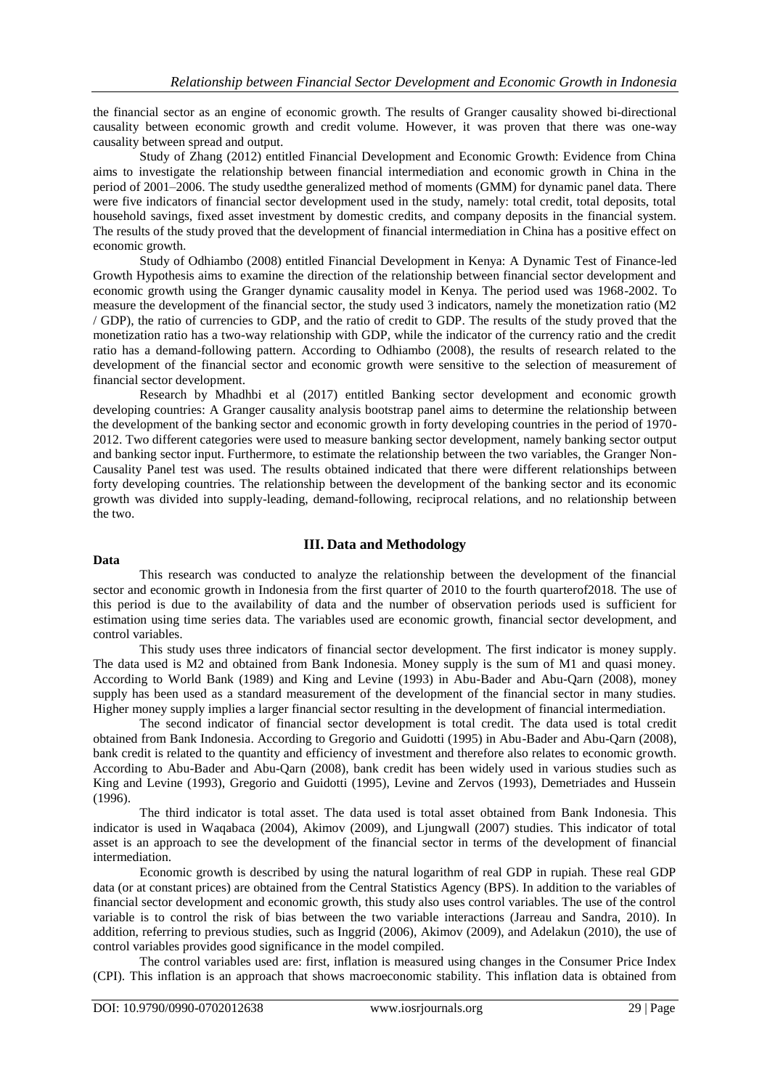the financial sector as an engine of economic growth. The results of Granger causality showed bi-directional causality between economic growth and credit volume. However, it was proven that there was one-way causality between spread and output.

Study of Zhang (2012) entitled Financial Development and Economic Growth: Evidence from China aims to investigate the relationship between financial intermediation and economic growth in China in the period of 2001–2006. The study usedthe generalized method of moments (GMM) for dynamic panel data. There were five indicators of financial sector development used in the study, namely: total credit, total deposits, total household savings, fixed asset investment by domestic credits, and company deposits in the financial system. The results of the study proved that the development of financial intermediation in China has a positive effect on economic growth.

Study of Odhiambo (2008) entitled Financial Development in Kenya: A Dynamic Test of Finance-led Growth Hypothesis aims to examine the direction of the relationship between financial sector development and economic growth using the Granger dynamic causality model in Kenya. The period used was 1968-2002. To measure the development of the financial sector, the study used 3 indicators, namely the monetization ratio (M2 / GDP), the ratio of currencies to GDP, and the ratio of credit to GDP. The results of the study proved that the monetization ratio has a two-way relationship with GDP, while the indicator of the currency ratio and the credit ratio has a demand-following pattern. According to Odhiambo (2008), the results of research related to the development of the financial sector and economic growth were sensitive to the selection of measurement of financial sector development.

Research by Mhadhbi et al (2017) entitled Banking sector development and economic growth developing countries: A Granger causality analysis bootstrap panel aims to determine the relationship between the development of the banking sector and economic growth in forty developing countries in the period of 1970- 2012. Two different categories were used to measure banking sector development, namely banking sector output and banking sector input. Furthermore, to estimate the relationship between the two variables, the Granger Non-Causality Panel test was used. The results obtained indicated that there were different relationships between forty developing countries. The relationship between the development of the banking sector and its economic growth was divided into supply-leading, demand-following, reciprocal relations, and no relationship between the two.

# **III. Data and Methodology**

## **Data**

This research was conducted to analyze the relationship between the development of the financial sector and economic growth in Indonesia from the first quarter of 2010 to the fourth quarterof2018*.* The use of this period is due to the availability of data and the number of observation periods used is sufficient for estimation using time series data. The variables used are economic growth, financial sector development, and control variables.

This study uses three indicators of financial sector development. The first indicator is money supply. The data used is M2 and obtained from Bank Indonesia. Money supply is the sum of M1 and quasi money. According to World Bank (1989) and King and Levine (1993) in Abu-Bader and Abu-Qarn (2008), money supply has been used as a standard measurement of the development of the financial sector in many studies. Higher money supply implies a larger financial sector resulting in the development of financial intermediation.

The second indicator of financial sector development is total credit. The data used is total credit obtained from Bank Indonesia. According to Gregorio and Guidotti (1995) in Abu-Bader and Abu-Qarn (2008), bank credit is related to the quantity and efficiency of investment and therefore also relates to economic growth. According to Abu-Bader and Abu-Qarn (2008), bank credit has been widely used in various studies such as King and Levine (1993), Gregorio and Guidotti (1995), Levine and Zervos (1993), Demetriades and Hussein (1996).

The third indicator is total asset. The data used is total asset obtained from Bank Indonesia. This indicator is used in Waqabaca (2004), Akimov (2009), and Ljungwall (2007) studies. This indicator of total asset is an approach to see the development of the financial sector in terms of the development of financial intermediation.

Economic growth is described by using the natural logarithm of real GDP in rupiah. These real GDP data (or at constant prices) are obtained from the Central Statistics Agency (BPS). In addition to the variables of financial sector development and economic growth, this study also uses control variables. The use of the control variable is to control the risk of bias between the two variable interactions (Jarreau and Sandra, 2010). In addition, referring to previous studies, such as Inggrid (2006), Akimov (2009), and Adelakun (2010), the use of control variables provides good significance in the model compiled.

The control variables used are: first, inflation is measured using changes in the Consumer Price Index (CPI). This inflation is an approach that shows macroeconomic stability. This inflation data is obtained from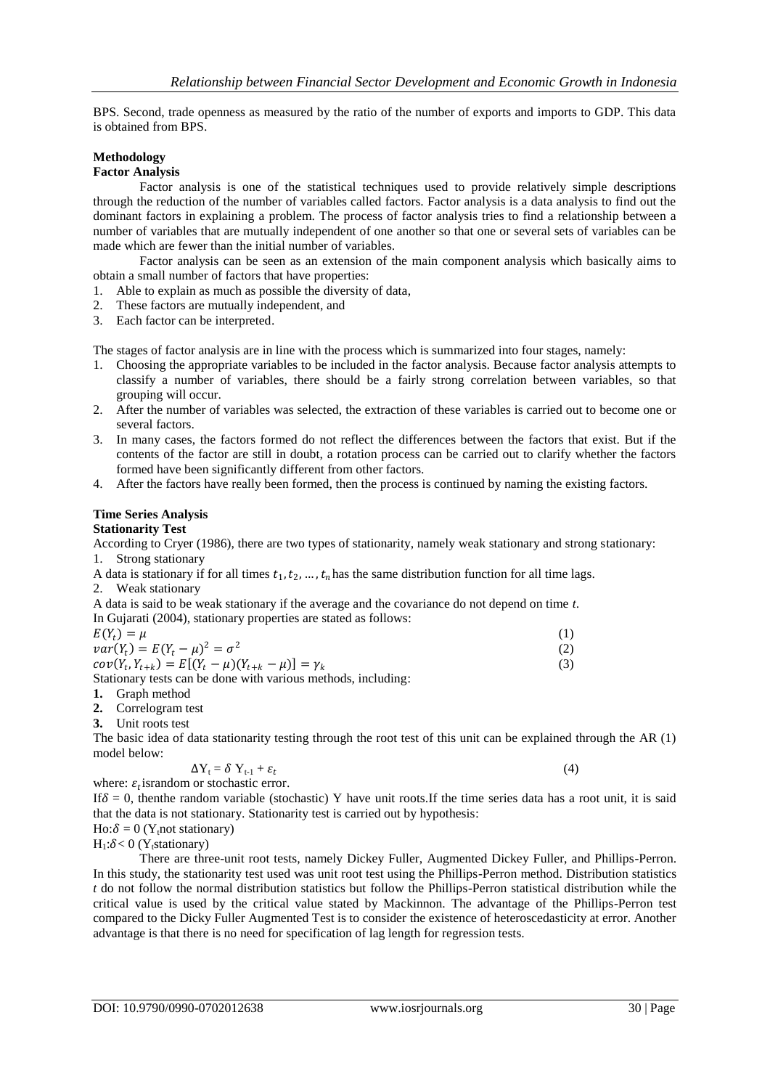BPS. Second, trade openness as measured by the ratio of the number of exports and imports to GDP. This data is obtained from BPS.

## **Methodology**

#### **Factor Analysis**

Factor analysis is one of the statistical techniques used to provide relatively simple descriptions through the reduction of the number of variables called factors. Factor analysis is a data analysis to find out the dominant factors in explaining a problem. The process of factor analysis tries to find a relationship between a number of variables that are mutually independent of one another so that one or several sets of variables can be made which are fewer than the initial number of variables.

Factor analysis can be seen as an extension of the main component analysis which basically aims to obtain a small number of factors that have properties:

- 1. Able to explain as much as possible the diversity of data,
- 2. These factors are mutually independent, and
- 3. Each factor can be interpreted.

The stages of factor analysis are in line with the process which is summarized into four stages, namely:

- 1. Choosing the appropriate variables to be included in the factor analysis. Because factor analysis attempts to classify a number of variables, there should be a fairly strong correlation between variables, so that grouping will occur.
- 2. After the number of variables was selected, the extraction of these variables is carried out to become one or several factors.
- 3. In many cases, the factors formed do not reflect the differences between the factors that exist. But if the contents of the factor are still in doubt, a rotation process can be carried out to clarify whether the factors formed have been significantly different from other factors.
- 4. After the factors have really been formed, then the process is continued by naming the existing factors.

#### **Time Series Analysis**

## **Stationarity Test**

According to Cryer (1986), there are two types of stationarity, namely weak stationary and strong stationary: 1. Strong stationary

A data is stationary if for all times  $t_1, t_2, ..., t_n$  has the same distribution function for all time lags. 2. Weak stationary

A data is said to be weak stationary if the average and the covariance do not depend on time *t*. In Gujarati (2004), stationary properties are stated as follows:

| $E(Y_t) = \mu$                                                 |  |
|----------------------------------------------------------------|--|
| $var(Y_t) = E(Y_t - \mu)^2 = \sigma^2$                         |  |
| $cov(Y_t, Y_{t+k}) = E[(Y_t - \mu)(Y_{t+k} - \mu)] = \gamma_k$ |  |
| $0.71 \pm 0.71$ $1.1$ $1.1$ $1.1$ $1.1$ $1.1$                  |  |

Stationary tests can be done with various methods, including:

- **1.** Graph method
- **2.** Correlogram test

**3.** Unit roots test

The basic idea of data stationarity testing through the root test of this unit can be explained through the AR (1) model below:

$$
\Delta Y_t = \delta Y_{t-1} + \varepsilon_t
$$

where:  $\varepsilon_t$  israndom or stochastic error. If  $\delta = 0$ , then the random variable (stochastic) Y have unit roots. If the time series data has a root unit, it is said that the data is not stationary. Stationarity test is carried out by hypothesis:

 $Ho: \delta = 0$  (Y<sub>t</sub>not stationary)

 $H_1: \delta < 0$  (Y<sub>t</sub>stationary)

There are three-unit root tests, namely Dickey Fuller, Augmented Dickey Fuller, and Phillips-Perron. In this study, the stationarity test used was unit root test using the Phillips-Perron method. Distribution statistics *t* do not follow the normal distribution statistics but follow the Phillips-Perron statistical distribution while the critical value is used by the critical value stated by Mackinnon. The advantage of the Phillips-Perron test compared to the Dicky Fuller Augmented Test is to consider the existence of heteroscedasticity at error. Another advantage is that there is no need for specification of lag length for regression tests.

(4)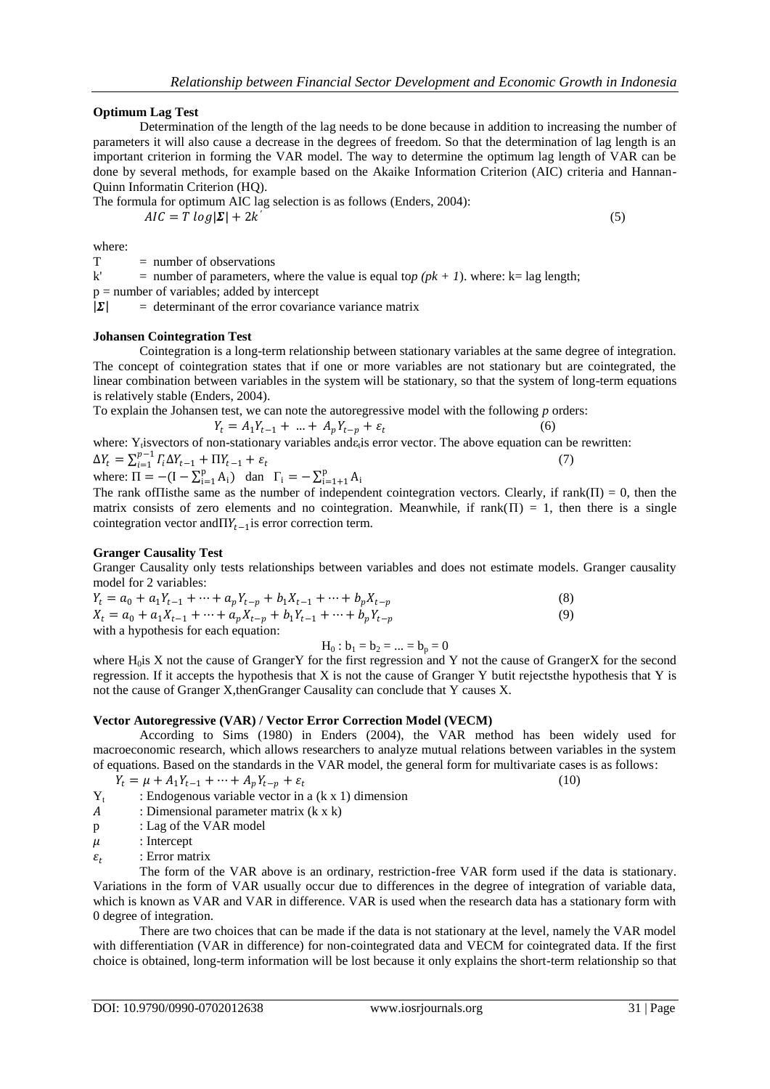## **Optimum Lag Test**

Determination of the length of the lag needs to be done because in addition to increasing the number of parameters it will also cause a decrease in the degrees of freedom. So that the determination of lag length is an important criterion in forming the VAR model. The way to determine the optimum lag length of VAR can be done by several methods, for example based on the Akaike Information Criterion (AIC) criteria and Hannan-Quinn Informatin Criterion (HQ).

The formula for optimum AIC lag selection is as follows (Enders, 2004):

 $AIC = T log |\mathbf{\Sigma}| + 2k$ 

(5)

where:

 $T = number of observations$ 

k' = number of parameters, where the value is equal top  $(pk + 1)$ . where: k= lag length;

 $p =$  number of variables; added by intercept

 $|\Sigma|$  = determinant of the error covariance variance matrix

#### **Johansen Cointegration Test**

Cointegration is a long-term relationship between stationary variables at the same degree of integration. The concept of cointegration states that if one or more variables are not stationary but are cointegrated, the linear combination between variables in the system will be stationary, so that the system of long-term equations is relatively stable (Enders, 2004).

To explain the Johansen test, we can note the autoregressive model with the following *p* orders: (6)

$$
Y_t = A_1 Y_{t-1} + \dots + A_p Y_{t-p} + \varepsilon_t
$$

where: Y<sub>t</sub>isvectors of non-stationary variables and a<sub>t</sub>is error vector. The above equation can be rewritten:  $\Delta Y_t = \sum_{i=1}^{p-1} \Gamma_i \Delta Y_{t-1} + \Pi Y_{t-1} + \varepsilon_t$ (7)

 $\Delta t_t - \sum_{i=1}^{t} t_i \Delta t_{t-1} + \Pi t_{t-1}$ <br>where:  $\Pi = -(\mathbf{I} - \sum_{i=1}^{p} A_i)$  $_{i=1}^{p} A_{i}$ ) dan  $\Gamma_{i} = -\sum_{i=1+1}^{p} A_{i}$  $i=1+1$ 

The rank of Thisthe same as the number of independent cointegration vectors. Clearly, if  $rank(\Pi) = 0$ , then the matrix consists of zero elements and no cointegration. Meanwhile, if  $rank(\Pi) = 1$ , then there is a single cointegration vector and  $\Pi Y_{t-1}$  is error correction term.

#### **Granger Causality Test**

Granger Causality only tests relationships between variables and does not estimate models. Granger causality model for 2 variables:

| $Y_t = a_0 + a_1 Y_{t-1} + \dots + a_p Y_{t-p} + b_1 X_{t-1} + \dots + b_p X_{t-p}$ | (8) |
|-------------------------------------------------------------------------------------|-----|
| $X_t = a_0 + a_1 X_{t-1} + \dots + a_p X_{t-p} + b_1 Y_{t-1} + \dots + b_p Y_{t-p}$ | (9) |

with a hypothesis for each equation:

$$
H_0
$$
:  $b_1 = b_2 = ... = b_p = 0$ 

where H<sub>0</sub>is X not the cause of GrangerY for the first regression and Y not the cause of GrangerX for the second regression. If it accepts the hypothesis that X is not the cause of Granger Y butit rejectsthe hypothesis that Y is not the cause of Granger X,thenGranger Causality can conclude that Y causes X.

## **Vector Autoregressive (VAR) / Vector Error Correction Model (VECM)**

According to Sims (1980) in Enders (2004), the VAR method has been widely used for macroeconomic research, which allows researchers to analyze mutual relations between variables in the system of equations. Based on the standards in the VAR model, the general form for multivariate cases is as follows:

$$
Y_t = \mu + A_1 Y_{t-1} + \dots + A_p Y_{t-p} + \varepsilon_t
$$

(10)

- $Y_t$ : Endogenous variable vector in a (k x 1) dimension
- : Dimensional parameter matrix (k x k)
- p : Lag of the VAR model
- $\mu$  : Intercept
- $\varepsilon_{t}$ : Error matrix

The form of the VAR above is an ordinary, restriction-free VAR form used if the data is stationary. Variations in the form of VAR usually occur due to differences in the degree of integration of variable data, which is known as VAR and VAR in difference. VAR is used when the research data has a stationary form with 0 degree of integration.

There are two choices that can be made if the data is not stationary at the level, namely the VAR model with differentiation (VAR in difference) for non-cointegrated data and VECM for cointegrated data. If the first choice is obtained, long-term information will be lost because it only explains the short-term relationship so that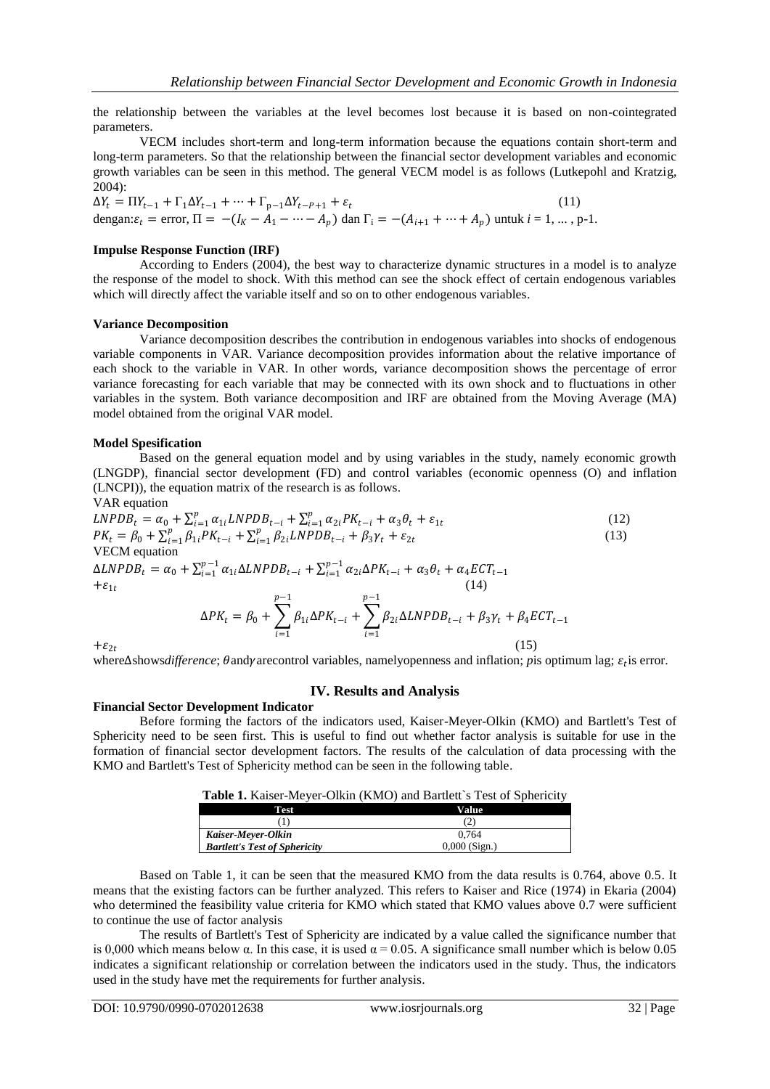the relationship between the variables at the level becomes lost because it is based on non-cointegrated parameters.

VECM includes short-term and long-term information because the equations contain short-term and long-term parameters. So that the relationship between the financial sector development variables and economic growth variables can be seen in this method. The general VECM model is as follows (Lutkepohl and Kratzig, 2004):

 $\Delta Y_t = \Pi Y_{t-1} + \Gamma_1 \Delta Y_{t-1} + \cdots + \Gamma_{p-1} \Delta Y_{t-p+1} + \varepsilon_t$ (11) dengan:  $\varepsilon_t$  = error,  $\Pi = -(I_K - A_1 - \cdots - A_p)$  dan  $\Gamma_i = -(A_{i+1} + \cdots + A_p)$  untuk  $i = 1, \dots, p-1$ .

#### **Impulse Response Function (IRF)**

According to Enders (2004), the best way to characterize dynamic structures in a model is to analyze the response of the model to shock. With this method can see the shock effect of certain endogenous variables which will directly affect the variable itself and so on to other endogenous variables.

## **Variance Decomposition**

Variance decomposition describes the contribution in endogenous variables into shocks of endogenous variable components in VAR. Variance decomposition provides information about the relative importance of each shock to the variable in VAR. In other words, variance decomposition shows the percentage of error variance forecasting for each variable that may be connected with its own shock and to fluctuations in other variables in the system. Both variance decomposition and IRF are obtained from the Moving Average (MA) model obtained from the original VAR model.

#### **Model Spesification**

Based on the general equation model and by using variables in the study, namely economic growth (LNGDP), financial sector development (FD) and control variables (economic openness (O) and inflation (LNCPI)), the equation matrix of the research is as follows.

VAR equation

$$
LNPDB_t = \alpha_0 + \sum_{i=1}^p \alpha_{1i} LNPDB_{t-i} + \sum_{i=1}^p \alpha_{2i} PK_{t-i} + \alpha_3 \theta_t + \varepsilon_{1t}
$$
  
\n
$$
PK_t = \beta_0 + \sum_{i=1}^p \beta_{1i} PK_{t-i} + \sum_{i=1}^p \beta_{2i} LNPDB_{t-i} + \beta_3 \gamma_t + \varepsilon_{2t}
$$
\n(13)  
\nVECM equation

 $\Delta LNPDB_t = \alpha_0 + \sum_{i=1}^{p-1} \alpha_{1i} \Delta LNPDB_{t-i} + \sum_{i=1}^{p-1} \alpha_{2i} \Delta PK_{t-i} + \alpha_3 \theta_t + \alpha_4 ECT_{t-1}$  $i=1$  $+\varepsilon_{1t}$ (14)

$$
\Delta PK_t = \beta_0 + \sum_{i=1}^{p-1} \beta_{1i} \Delta PK_{t-i} + \sum_{i=1}^{p-1} \beta_{2i} \Delta LNPDB_{t-i} + \beta_3 \gamma_t + \beta_4 ECT_{t-1}
$$
\n(15)

 $+\varepsilon_{2t}$ 

where∆shows*difference*;  $\theta$  andy arecontrol variables, namely openness and inflation; *p* is optimum lag;  $\varepsilon_t$  is error.

## **IV. Results and Analysis**

#### **Financial Sector Development Indicator**

Before forming the factors of the indicators used, Kaiser-Meyer-Olkin (KMO) and Bartlett's Test of Sphericity need to be seen first. This is useful to find out whether factor analysis is suitable for use in the formation of financial sector development factors. The results of the calculation of data processing with the KMO and Bartlett's Test of Sphericity method can be seen in the following table.

|                                      | <b>Table 1.</b> Kaiser-Meyer-Olkin (KMO) and Bartlett's Test of Sphericity |
|--------------------------------------|----------------------------------------------------------------------------|
| <b>Test</b>                          | Value                                                                      |
|                                      |                                                                            |
| Kaiser-Meyer-Olkin                   | 0.764                                                                      |
| <b>Bartlett's Test of Sphericity</b> | $0,000$ (Sign.)                                                            |

Based on Table 1, it can be seen that the measured KMO from the data results is 0.764, above 0.5. It means that the existing factors can be further analyzed. This refers to Kaiser and Rice (1974) in Ekaria (2004) who determined the feasibility value criteria for KMO which stated that KMO values above 0.7 were sufficient

to continue the use of factor analysis The results of Bartlett's Test of Sphericity are indicated by a value called the significance number that is 0,000 which means below  $\alpha$ . In this case, it is used  $\alpha = 0.05$ . A significance small number which is below 0.05 indicates a significant relationship or correlation between the indicators used in the study. Thus, the indicators used in the study have met the requirements for further analysis.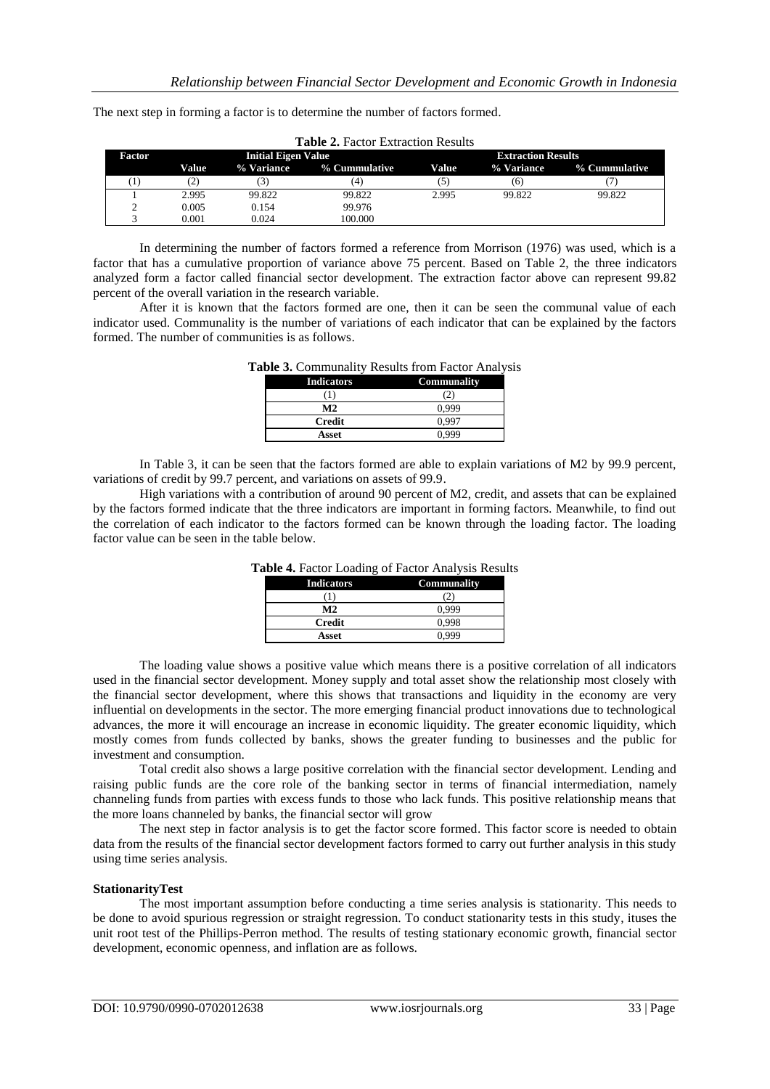The next step in forming a factor is to determine the number of factors formed.

| <b>Factor</b> |       | <b>Initial Eigen Value</b> |               |       | <b>Extraction Results</b> |               |
|---------------|-------|----------------------------|---------------|-------|---------------------------|---------------|
|               | Value | % Variance                 | % Cummulative | Value | % Variance                | % Cummulative |
| 1             | (2)   |                            | (4)           | (5)   | (6)                       |               |
|               | 2.995 | 99.822                     | 99.822        | 2.995 | 99.822                    | 99.822        |
| ∠             | 0.005 | 0.154                      | 99.976        |       |                           |               |
|               | 0.001 | 0.024                      | 100.000       |       |                           |               |

**Table 2.** Factor Extraction Results

In determining the number of factors formed a reference from Morrison (1976) was used, which is a factor that has a cumulative proportion of variance above 75 percent. Based on Table 2, the three indicators analyzed form a factor called financial sector development. The extraction factor above can represent 99.82 percent of the overall variation in the research variable.

After it is known that the factors formed are one, then it can be seen the communal value of each indicator used. Communality is the number of variations of each indicator that can be explained by the factors formed. The number of communities is as follows.

| <b>Indicators</b> | <b>Communality</b> |
|-------------------|--------------------|
|                   |                    |
| M2                |                    |
| <b>Credit</b>     | በ 99′              |
| Asset             |                    |

## **Table 3.** Communality Results from Factor Analysis

In Table 3, it can be seen that the factors formed are able to explain variations of M2 by 99.9 percent, variations of credit by 99.7 percent, and variations on assets of 99.9.

High variations with a contribution of around 90 percent of M2, credit, and assets that can be explained by the factors formed indicate that the three indicators are important in forming factors. Meanwhile, to find out the correlation of each indicator to the factors formed can be known through the loading factor. The loading factor value can be seen in the table below.

| <b>Indicators</b> | Communality |
|-------------------|-------------|
|                   |             |
| M <sub>2</sub>    | 0.999       |
| <b>Credit</b>     | 0.998       |
| Asset             |             |

**Table 4.** Factor Loading of Factor Analysis Results

The loading value shows a positive value which means there is a positive correlation of all indicators used in the financial sector development. Money supply and total asset show the relationship most closely with the financial sector development, where this shows that transactions and liquidity in the economy are very influential on developments in the sector. The more emerging financial product innovations due to technological advances, the more it will encourage an increase in economic liquidity. The greater economic liquidity, which mostly comes from funds collected by banks, shows the greater funding to businesses and the public for investment and consumption.

Total credit also shows a large positive correlation with the financial sector development. Lending and raising public funds are the core role of the banking sector in terms of financial intermediation, namely channeling funds from parties with excess funds to those who lack funds. This positive relationship means that the more loans channeled by banks, the financial sector will grow

The next step in factor analysis is to get the factor score formed. This factor score is needed to obtain data from the results of the financial sector development factors formed to carry out further analysis in this study using time series analysis.

## **StationarityTest**

The most important assumption before conducting a time series analysis is stationarity. This needs to be done to avoid spurious regression or straight regression. To conduct stationarity tests in this study, ituses the unit root test of the Phillips-Perron method. The results of testing stationary economic growth, financial sector development, economic openness, and inflation are as follows.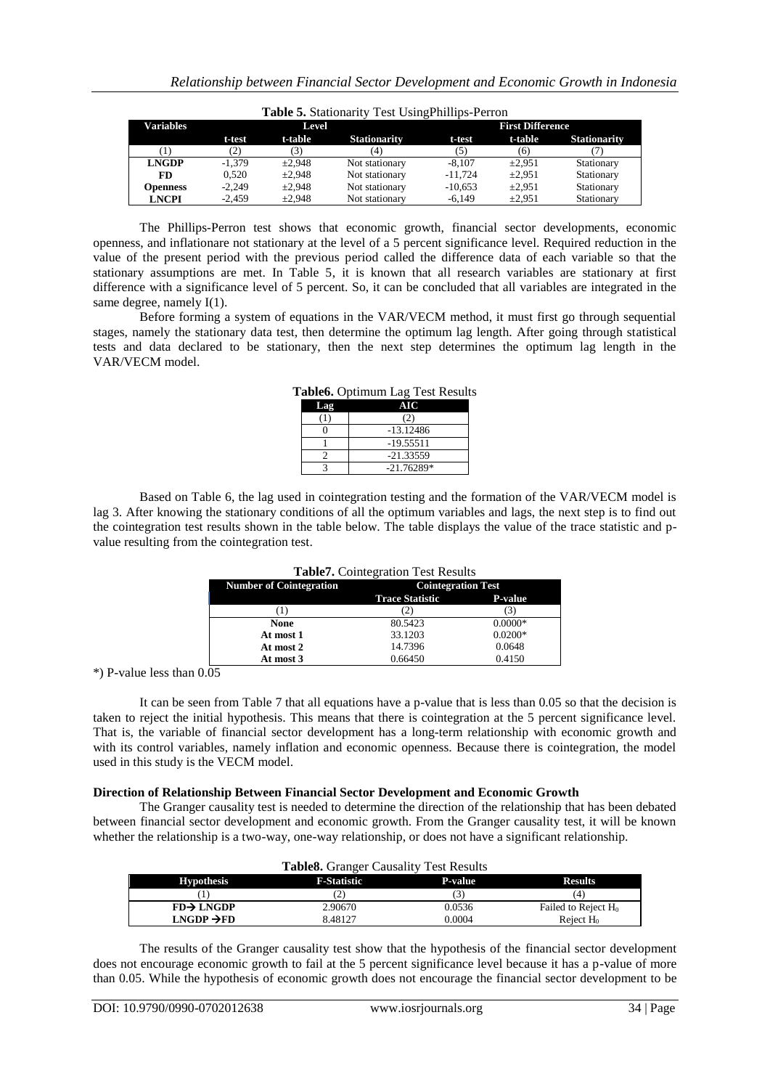|                  |          |         | <b>Table 5.</b> Stationarity Test Using Phillips-Perron |           |                         |                     |
|------------------|----------|---------|---------------------------------------------------------|-----------|-------------------------|---------------------|
| <b>Variables</b> |          | Level   |                                                         |           | <b>First Difference</b> |                     |
|                  | t-test   | t-table | <b>Stationarity</b>                                     | t-test    | t-table                 | <b>Stationarity</b> |
|                  | (2)      |         | (4)                                                     | (5)       | (6)                     |                     |
| <b>LNGDP</b>     | $-1.379$ | ±2.948  | Not stationary                                          | $-8.107$  | $\pm 2.951$             | Stationary          |
| FD               | 0.520    | ±2.948  | Not stationary                                          | $-11.724$ | $\pm 2.951$             | Stationary          |
| <b>Openness</b>  | $-2.249$ | ±2.948  | Not stationary                                          | $-10.653$ | $\pm 2.951$             | Stationary          |
| <b>LNCPI</b>     | $-2.459$ | ±2.948  | Not stationary                                          | $-6.149$  | $\pm 2.951$             | Stationary          |

The Phillips-Perron test shows that economic growth, financial sector developments, economic openness, and inflationare not stationary at the level of a 5 percent significance level. Required reduction in the value of the present period with the previous period called the difference data of each variable so that the stationary assumptions are met. In Table 5, it is known that all research variables are stationary at first difference with a significance level of 5 percent. So, it can be concluded that all variables are integrated in the same degree, namely  $I(1)$ .

Before forming a system of equations in the VAR/VECM method, it must first go through sequential stages, namely the stationary data test, then determine the optimum lag length. After going through statistical tests and data declared to be stationary, then the next step determines the optimum lag length in the VAR/VECM model.

|     | $\alpha$ anco. Optimum $\text{Lag}$ Test Result |
|-----|-------------------------------------------------|
| Lag | AIC                                             |
|     | (2)                                             |
|     | $-13.12486$                                     |
|     | -19.55511                                       |
|     | $-21.33559$                                     |
|     | $-21.76289*$                                    |

**Table6.** Optimum Lag Test Results

Based on Table 6, the lag used in cointegration testing and the formation of the VAR/VECM model is lag 3. After knowing the stationary conditions of all the optimum variables and lags, the next step is to find out the cointegration test results shown in the table below. The table displays the value of the trace statistic and pvalue resulting from the cointegration test.

| <b>Number of Cointegration</b> | <b>Cointegration Test</b> |                |
|--------------------------------|---------------------------|----------------|
|                                | <b>Trace Statistic</b>    | <b>P-value</b> |
|                                | 21                        | 3              |
| None                           | 80.5423                   | $0.0000*$      |
| At most 1                      | 33.1203                   | $0.0200*$      |
| At most 2                      | 14.7396                   | 0.0648         |
| At most 3                      | 0.66450                   | 0.4150         |

# **Table7.** Cointegration Test Results

\*) P-value less than  $0.05$ 

It can be seen from Table 7 that all equations have a p-value that is less than 0.05 so that the decision is taken to reject the initial hypothesis. This means that there is cointegration at the 5 percent significance level. That is, the variable of financial sector development has a long-term relationship with economic growth and with its control variables, namely inflation and economic openness. Because there is cointegration, the model used in this study is the VECM model.

#### **Direction of Relationship Between Financial Sector Development and Economic Growth**

The Granger causality test is needed to determine the direction of the relationship that has been debated between financial sector development and economic growth. From the Granger causality test, it will be known whether the relationship is a two-way, one-way relationship, or does not have a significant relationship.

|                        | <b>Table 8.</b> Granger Causality Test Results |         |                        |
|------------------------|------------------------------------------------|---------|------------------------|
| <b>Hypothesis</b>      | <b>F-Statistic</b>                             | P-value | <b>Results</b>         |
|                        | 2'                                             |         | [4]                    |
| $FD\rightarrow LNGDP$  | 2.90670                                        | 0.0536  | Failed to Reject $H_0$ |
| $LNGDP \rightarrow FD$ | 8.48127                                        | 0.0004  | Reject $H_0$           |

The results of the Granger causality test show that the hypothesis of the financial sector development does not encourage economic growth to fail at the 5 percent significance level because it has a p-value of more than 0.05. While the hypothesis of economic growth does not encourage the financial sector development to be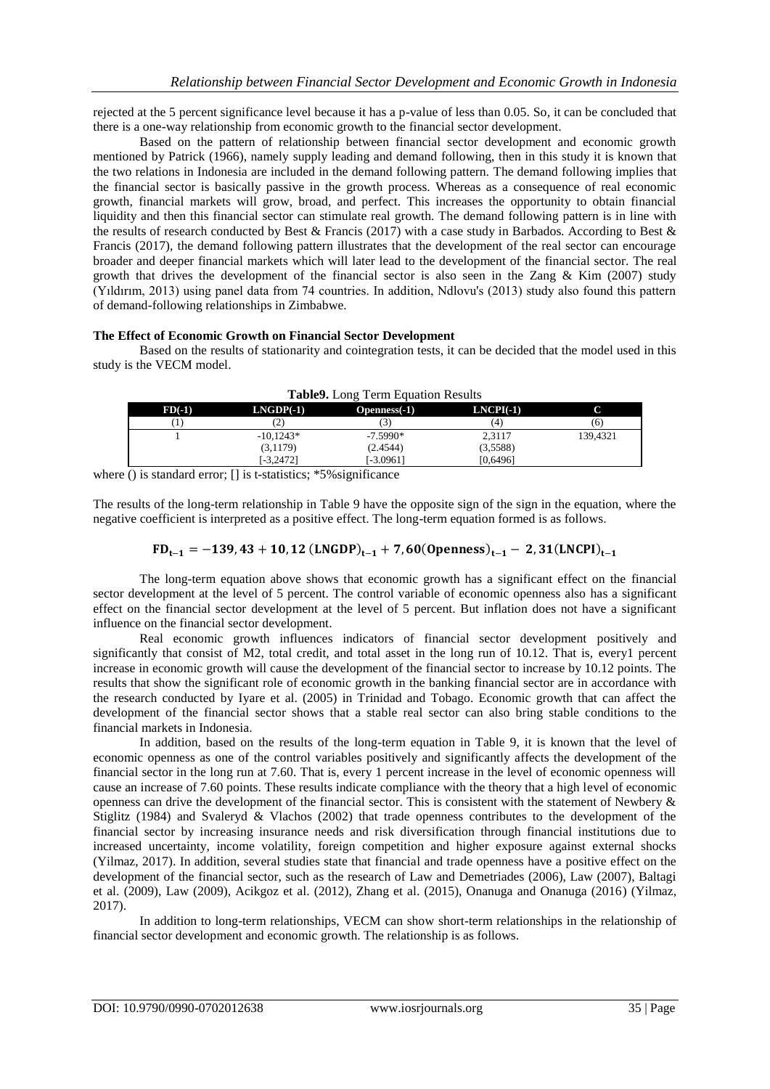rejected at the 5 percent significance level because it has a p-value of less than 0.05. So, it can be concluded that there is a one-way relationship from economic growth to the financial sector development.

Based on the pattern of relationship between financial sector development and economic growth mentioned by Patrick (1966), namely supply leading and demand following, then in this study it is known that the two relations in Indonesia are included in the demand following pattern. The demand following implies that the financial sector is basically passive in the growth process. Whereas as a consequence of real economic growth, financial markets will grow, broad, and perfect. This increases the opportunity to obtain financial liquidity and then this financial sector can stimulate real growth. The demand following pattern is in line with the results of research conducted by Best & Francis (2017) with a case study in Barbados. According to Best & Francis (2017), the demand following pattern illustrates that the development of the real sector can encourage broader and deeper financial markets which will later lead to the development of the financial sector. The real growth that drives the development of the financial sector is also seen in the Zang  $\&$  Kim (2007) study (Yıldırım, 2013) using panel data from 74 countries. In addition, Ndlovu's (2013) study also found this pattern of demand-following relationships in Zimbabwe.

#### **The Effect of Economic Growth on Financial Sector Development**

Based on the results of stationarity and cointegration tests, it can be decided that the model used in this study is the VECM model.

| $FD(-1)$ | $LNGDP(-1)$  | $Openness(-1)$ | $LNCPI(-1)$ |          |
|----------|--------------|----------------|-------------|----------|
|          | (2)          |                | Ί.          | (6)      |
|          | $-10.1243*$  | $-7.5990*$     | 2.3117      | 139.4321 |
|          | (3,1179)     | (2.4544)       | (3,5588)    |          |
|          | $[-3, 2472]$ | [-3.0961]      | [0,6496]    |          |

| Table9. Long Term Equation Results |
|------------------------------------|
|------------------------------------|

where () is standard error; [] is t-statistics; \*5% significance

The results of the long-term relationship in Table 9 have the opposite sign of the sign in the equation, where the negative coefficient is interpreted as a positive effect. The long-term equation formed is as follows.

## $FD_{t-1} = -139,43 + 10,12$  (LNGDP)<sub>t-1</sub> + 7,60(0penness)<sub>t-1</sub> - 2,31(LNCPI)<sub>t-1</sub>

The long-term equation above shows that economic growth has a significant effect on the financial sector development at the level of 5 percent. The control variable of economic openness also has a significant effect on the financial sector development at the level of 5 percent. But inflation does not have a significant influence on the financial sector development.

Real economic growth influences indicators of financial sector development positively and significantly that consist of M2, total credit, and total asset in the long run of 10.12. That is, every1 percent increase in economic growth will cause the development of the financial sector to increase by 10.12 points. The results that show the significant role of economic growth in the banking financial sector are in accordance with the research conducted by Iyare et al. (2005) in Trinidad and Tobago. Economic growth that can affect the development of the financial sector shows that a stable real sector can also bring stable conditions to the financial markets in Indonesia.

In addition, based on the results of the long-term equation in Table 9, it is known that the level of economic openness as one of the control variables positively and significantly affects the development of the financial sector in the long run at 7.60. That is, every 1 percent increase in the level of economic openness will cause an increase of 7.60 points. These results indicate compliance with the theory that a high level of economic openness can drive the development of the financial sector. This is consistent with the statement of Newbery & Stiglitz (1984) and Svaleryd & Vlachos (2002) that trade openness contributes to the development of the financial sector by increasing insurance needs and risk diversification through financial institutions due to increased uncertainty, income volatility, foreign competition and higher exposure against external shocks (Yilmaz, 2017). In addition, several studies state that financial and trade openness have a positive effect on the development of the financial sector, such as the research of Law and Demetriades (2006), Law (2007), Baltagi et al. (2009), Law (2009), Acikgoz et al. (2012), Zhang et al. (2015), Onanuga and Onanuga (2016) (Yilmaz, 2017).

In addition to long-term relationships, VECM can show short-term relationships in the relationship of financial sector development and economic growth. The relationship is as follows.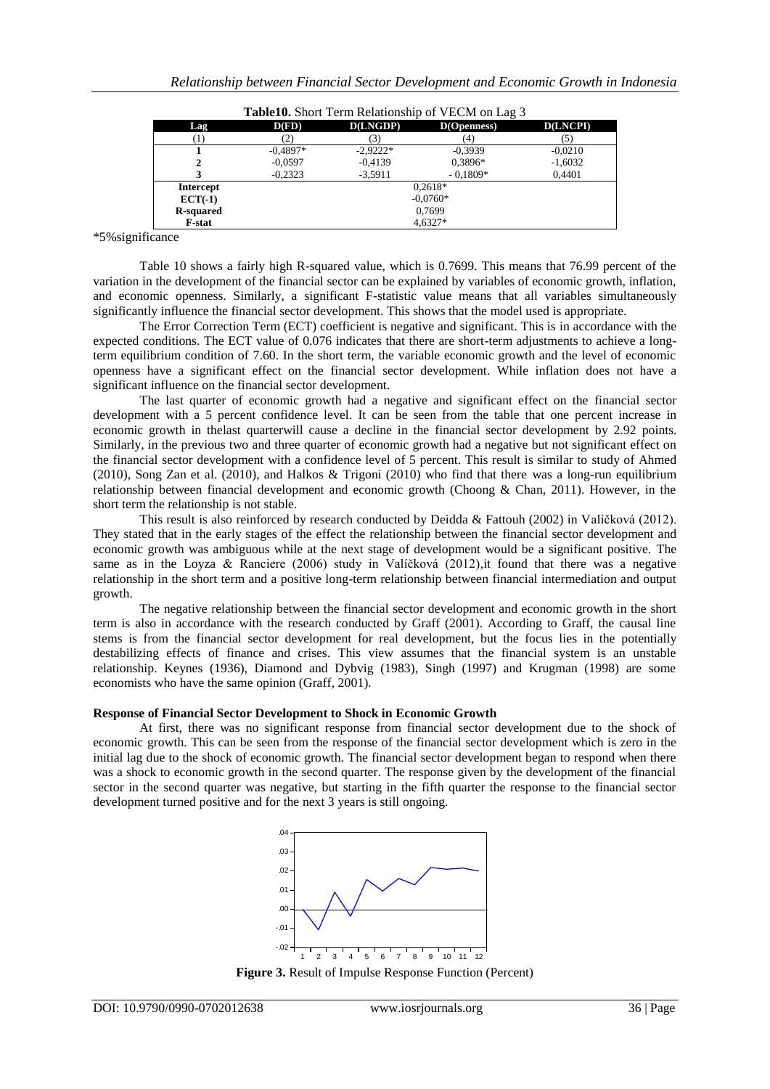| <b>Table 10.</b> Short Term Relationship of VECM on Lag 3 |            |            |                |                 |
|-----------------------------------------------------------|------------|------------|----------------|-----------------|
| Lag                                                       | D(FD)      | D(LNGDP)   | $D(O$ penness) | <b>D(LNCPI)</b> |
|                                                           |            |            |                |                 |
|                                                           | $-0.4897*$ | $-2.9222*$ | $-0.3939$      | $-0,0210$       |
|                                                           | $-0.0597$  | $-0,4139$  | 0,3896*        | $-1,6032$       |
|                                                           | $-0.2323$  | $-3,5911$  | $-0.1809*$     | 0,4401          |
| <b>Intercept</b>                                          | $0.2618*$  |            |                |                 |
| $ECT(-1)$                                                 | $-0.0760*$ |            |                |                 |
| <b>R-squared</b>                                          | 0.7699     |            |                |                 |
| <b>F-stat</b>                                             | $4.6327*$  |            |                |                 |

\*5%significance

Table 10 shows a fairly high R-squared value, which is 0.7699. This means that 76.99 percent of the variation in the development of the financial sector can be explained by variables of economic growth, inflation, and economic openness. Similarly, a significant F-statistic value means that all variables simultaneously significantly influence the financial sector development. This shows that the model used is appropriate.

The Error Correction Term (ECT) coefficient is negative and significant. This is in accordance with the expected conditions. The ECT value of 0.076 indicates that there are short-term adjustments to achieve a longterm equilibrium condition of 7.60. In the short term, the variable economic growth and the level of economic openness have a significant effect on the financial sector development. While inflation does not have a significant influence on the financial sector development.

The last quarter of economic growth had a negative and significant effect on the financial sector development with a 5 percent confidence level. It can be seen from the table that one percent increase in economic growth in thelast quarterwill cause a decline in the financial sector development by 2.92 points. Similarly, in the previous two and three quarter of economic growth had a negative but not significant effect on the financial sector development with a confidence level of 5 percent. This result is similar to study of Ahmed (2010), Song Zan et al. (2010), and Halkos & Trigoni (2010) who find that there was a long-run equilibrium relationship between financial development and economic growth (Choong & Chan, 2011). However, in the short term the relationship is not stable.

This result is also reinforced by research conducted by Deidda & Fattouh (2002) in Valíčková (2012). They stated that in the early stages of the effect the relationship between the financial sector development and economic growth was ambiguous while at the next stage of development would be a significant positive. The same as in the Loyza & Ranciere (2006) study in Valíčková (2012), it found that there was a negative relationship in the short term and a positive long-term relationship between financial intermediation and output growth.

The negative relationship between the financial sector development and economic growth in the short term is also in accordance with the research conducted by Graff (2001). According to Graff, the causal line stems is from the financial sector development for real development, but the focus lies in the potentially destabilizing effects of finance and crises. This view assumes that the financial system is an unstable relationship. Keynes (1936), Diamond and Dybvig (1983), Singh (1997) and Krugman (1998) are some economists who have the same opinion (Graff, 2001).

#### **Response of Financial Sector Development to Shock in Economic Growth**

At first, there was no significant response from financial sector development due to the shock of economic growth. This can be seen from the response of the financial sector development which is zero in the initial lag due to the shock of economic growth. The financial sector development began to respond when there was a shock to economic growth in the second quarter. The response given by the development of the financial sector in the second quarter was negative, but starting in the fifth quarter the response to the financial sector development turned positive and for the next 3 years is still ongoing.



**Figure 3.** Result of Impulse Response Function (Percent)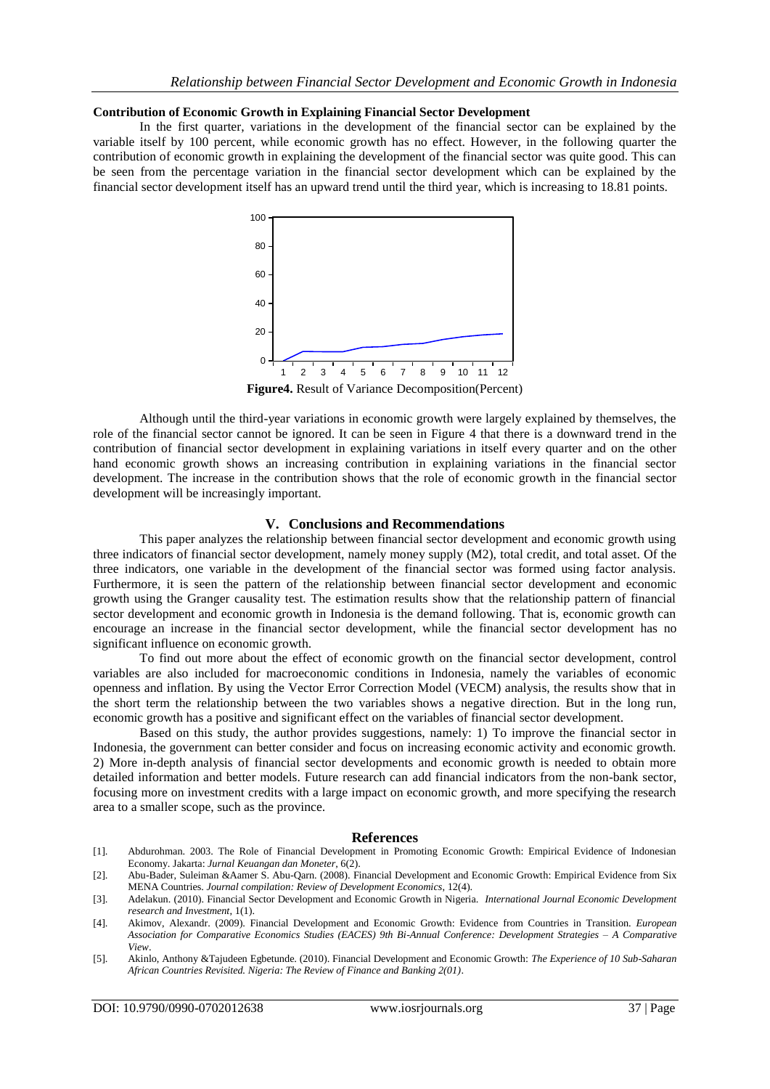#### **Contribution of Economic Growth in Explaining Financial Sector Development**

In the first quarter, variations in the development of the financial sector can be explained by the variable itself by 100 percent, while economic growth has no effect. However, in the following quarter the contribution of economic growth in explaining the development of the financial sector was quite good. This can be seen from the percentage variation in the financial sector development which can be explained by the financial sector development itself has an upward trend until the third year, which is increasing to 18.81 points.



**Figure4.** Result of Variance Decomposition(Percent)

Although until the third-year variations in economic growth were largely explained by themselves, the role of the financial sector cannot be ignored. It can be seen in Figure 4 that there is a downward trend in the contribution of financial sector development in explaining variations in itself every quarter and on the other hand economic growth shows an increasing contribution in explaining variations in the financial sector development. The increase in the contribution shows that the role of economic growth in the financial sector development will be increasingly important.

#### **V. Conclusions and Recommendations**

This paper analyzes the relationship between financial sector development and economic growth using three indicators of financial sector development, namely money supply (M2), total credit, and total asset. Of the three indicators, one variable in the development of the financial sector was formed using factor analysis. 0 0 Furthermore, it is seen the pattern of the relationship between financial sector development and economic growth using the Granger causality test. The estimation results show that the relationship pattern of financial sector development and economic growth in Indonesia is the demand following. That is, economic growth can encourage an increase in the financial sector development, while the financial sector development has no significant influence on economic growth.

> To find out more about the effect of economic growth on the financial sector development, control variables are also included for macroeconomic conditions in Indonesia, namely the variables of economic openness and inflation. By using the Vector Error Correction Model (VECM) analysis, the results show that in the short term the relationship between the two variables shows a negative direction. But in the long run, economic growth has a positive and significant effect on the variables of financial sector development.

Based on this study, the author provides suggestions, namely: 1) To improve the financial sector in Indonesia, the government can better consider and focus on increasing economic activity and economic growth. 2) More in-depth analysis of financial sector developments and economic growth is needed to obtain more detailed information and better models. Future research can add financial indicators from the non-bank sector, focusing more on investment credits with a large impact on economic growth, and more specifying the research area to a smaller scope, such as the province.  $\frac{1}{2}$   $\frac{1}{2}$   $\frac{1}{2}$   $\frac{1}{2}$   $\frac{1}{2}$   $\frac{1}{2}$   $\frac{1}{2}$   $\frac{1}{2}$   $\frac{1}{2}$   $\frac{1}{2}$   $\frac{1}{2}$   $\frac{1}{2}$   $\frac{1}{2}$   $\frac{1}{2}$   $\frac{1}{2}$   $\frac{1}{2}$   $\frac{1}{2}$   $\frac{1}{2}$   $\frac{1}{2}$   $\frac{1}{2}$   $\frac{1}{2}$   $\frac{1}{2}$   $\overline{a}$  $1 y \text{m/s}$  and  $100 \text{cm}$ 

## $Ref$ erences

- [1]. Abdurohman. 2003. The Role of Financial Development in Promoting Economic Growth: Empirical Evidence of Indonesian Economy. Jakarta: *Jurnal Keuangan dan Moneter*, 6(2). 100
- [2]. Abu-Bader, Suleiman &Aamer S. Abu-Qarn. (2008). Financial Development and Economic Growth: Empirical Evidence from Six MENA Countries. *Journal compilation: Review of Development Economics*, 12(4). 80
- [3]. Adelakun. (2010). Financial Sector Development and Economic Growth in Nigeria. *International Journal Economic Development research and Investment*, 1(1).
- research ana investment, 1(1).<br>[4]. Akimov, Alexandr. (2009). Financial Development and Economic Growth: Evidence from Countries in Transition. *European Association for Comparative Economics Studies (EACES) 9th Bi-Annual Conference: Development Strategies – A Comparative*  40 40 *View*.
- [5]. Akinlo, Anthony &Tajudeen Egbetunde. (2010). Financial Development and Economic Growth: *The Experience of 10 Sub-Saharan African Countries Revisited. Nigeria: The Review of Finance and Banking 2(01)*. 20

0